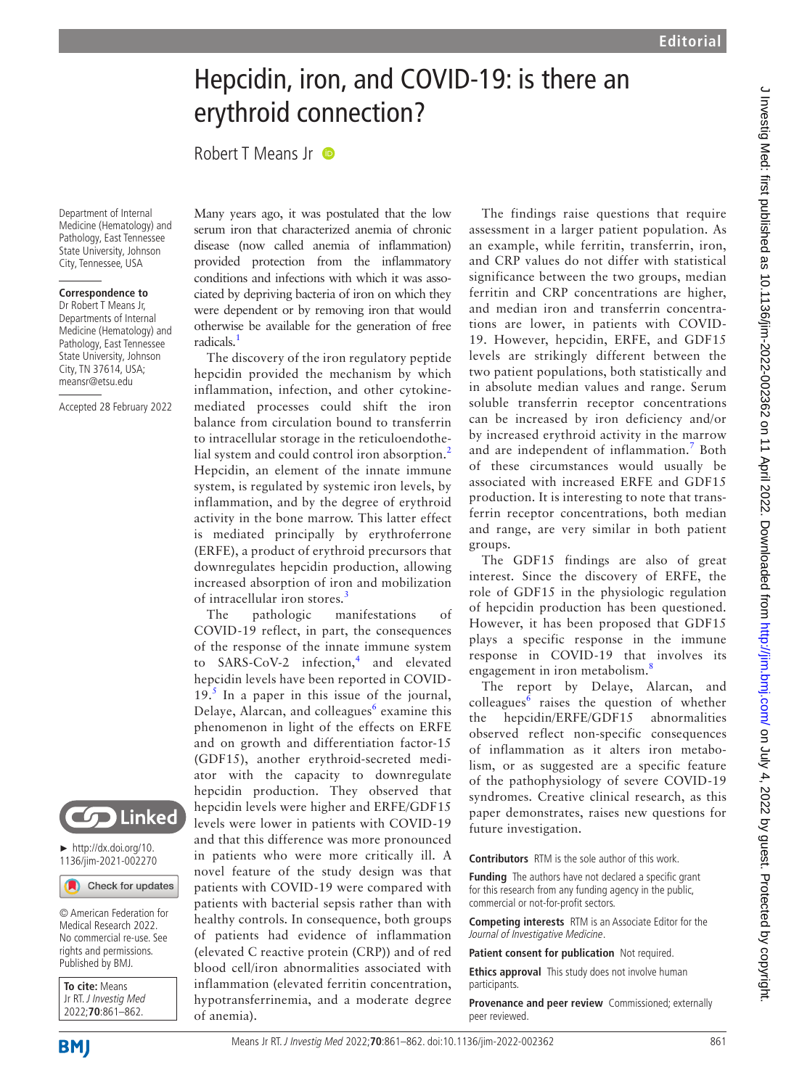# Hepcidin, iron, and COVID-19: is there an erythroid connection?

Robert T Means Jr **D** 

Department of Internal Medicine (Hematology) and Pathology, East Tennessee State University, Johnson City, Tennessee, USA

### **Correspondence to**

Dr Robert T Means Jr, Departments of Internal Medicine (Hematology) and Pathology, East Tennessee State University, Johnson City, TN 37614, USA; meansr@etsu.edu

Accepted 28 February 2022



► [http://dx.doi.org/10.](http://dx.doi.org/10.1136/jim-2021-002270) [1136/jim-2021-002270](http://dx.doi.org/10.1136/jim-2021-002270)

Check for updates

© American Federation for Medical Research 2022. No commercial re-use. See rights and permissions. Published by BMJ.

| To cite: Means<br>Jr RT. J Investig Med |
|-----------------------------------------|
|                                         |
| 2022;70:861-862.                        |

Many years ago, it was postulated that the low serum iron that characterized anemia of chronic disease (now called anemia of inflammation) provided protection from the inflammatory conditions and infections with which it was associated by depriving bacteria of iron on which they were dependent or by removing iron that would otherwise be available for the generation of free radicals.<sup>[1](#page-1-0)</sup>

The discovery of the iron regulatory peptide hepcidin provided the mechanism by which inflammation, infection, and other cytokinemediated processes could shift the iron balance from circulation bound to transferrin to intracellular storage in the reticuloendothe-lial system and could control iron absorption.<sup>[2](#page-1-1)</sup> Hepcidin, an element of the innate immune system, is regulated by systemic iron levels, by inflammation, and by the degree of erythroid activity in the bone marrow. This latter effect is mediated principally by erythroferrone (ERFE), a product of erythroid precursors that downregulates hepcidin production, allowing increased absorption of iron and mobilization of intracellular iron stores.<sup>[3](#page-1-2)</sup>

The pathologic manifestations of COVID-19 reflect, in part, the consequences of the response of the innate immune system to SARS-CoV-2 infection,<sup>[4](#page-1-3)</sup> and elevated hepcidin levels have been reported in COVID- $19<sup>5</sup>$  $19<sup>5</sup>$  $19<sup>5</sup>$  In a paper in this issue of the journal, Delaye, Alarcan, and colleagues<sup>[6](#page-1-5)</sup> examine this phenomenon in light of the effects on ERFE and on growth and differentiation factor-15 (GDF15), another erythroid-secreted mediator with the capacity to downregulate hepcidin production. They observed that hepcidin levels were higher and ERFE/GDF15 levels were lower in patients with COVID-19 and that this difference was more pronounced in patients who were more critically ill. A novel feature of the study design was that patients with COVID-19 were compared with patients with bacterial sepsis rather than with healthy controls. In consequence, both groups of patients had evidence of inflammation (elevated C reactive protein (CRP)) and of red blood cell/iron abnormalities associated with inflammation (elevated ferritin concentration, hypotransferrinemia, and a moderate degree of anemia).

The findings raise questions that require assessment in a larger patient population. As an example, while ferritin, transferrin, iron, and CRP values do not differ with statistical significance between the two groups, median ferritin and CRP concentrations are higher, and median iron and transferrin concentrations are lower, in patients with COVID-19. However, hepcidin, ERFE, and GDF15 levels are strikingly different between the two patient populations, both statistically and in absolute median values and range. Serum soluble transferrin receptor concentrations can be increased by iron deficiency and/or by increased erythroid activity in the marrow and are independent of inflammation.<sup>[7](#page-1-6)</sup> Both of these circumstances would usually be associated with increased ERFE and GDF15 production. It is interesting to note that transferrin receptor concentrations, both median and range, are very similar in both patient groups.

The GDF15 findings are also of great interest. Since the discovery of ERFE, the role of GDF15 in the physiologic regulation of hepcidin production has been questioned. However, it has been proposed that GDF15 plays a specific response in the immune response in COVID-19 that involves its engagement in iron metabolism.<sup>[8](#page-1-7)</sup>

The report by Delaye, Alarcan, and colleagues<sup>[6](#page-1-5)</sup> raises the question of whether the hepcidin/ERFE/GDF15 abnormalities observed reflect non-specific consequences of inflammation as it alters iron metabolism, or as suggested are a specific feature of the pathophysiology of severe COVID-19 syndromes. Creative clinical research, as this paper demonstrates, raises new questions for future investigation.

#### **Contributors** RTM is the sole author of this work.

**Funding** The authors have not declared a specific grant for this research from any funding agency in the public, commercial or not-for-profit sectors.

**Competing interests** RTM is an Associate Editor for the Journal of Investigative Medicine.

**Patient consent for publication** Not required.

**Ethics approval** This study does not involve human participants.

**Provenance and peer review** Commissioned; externally peer reviewed.